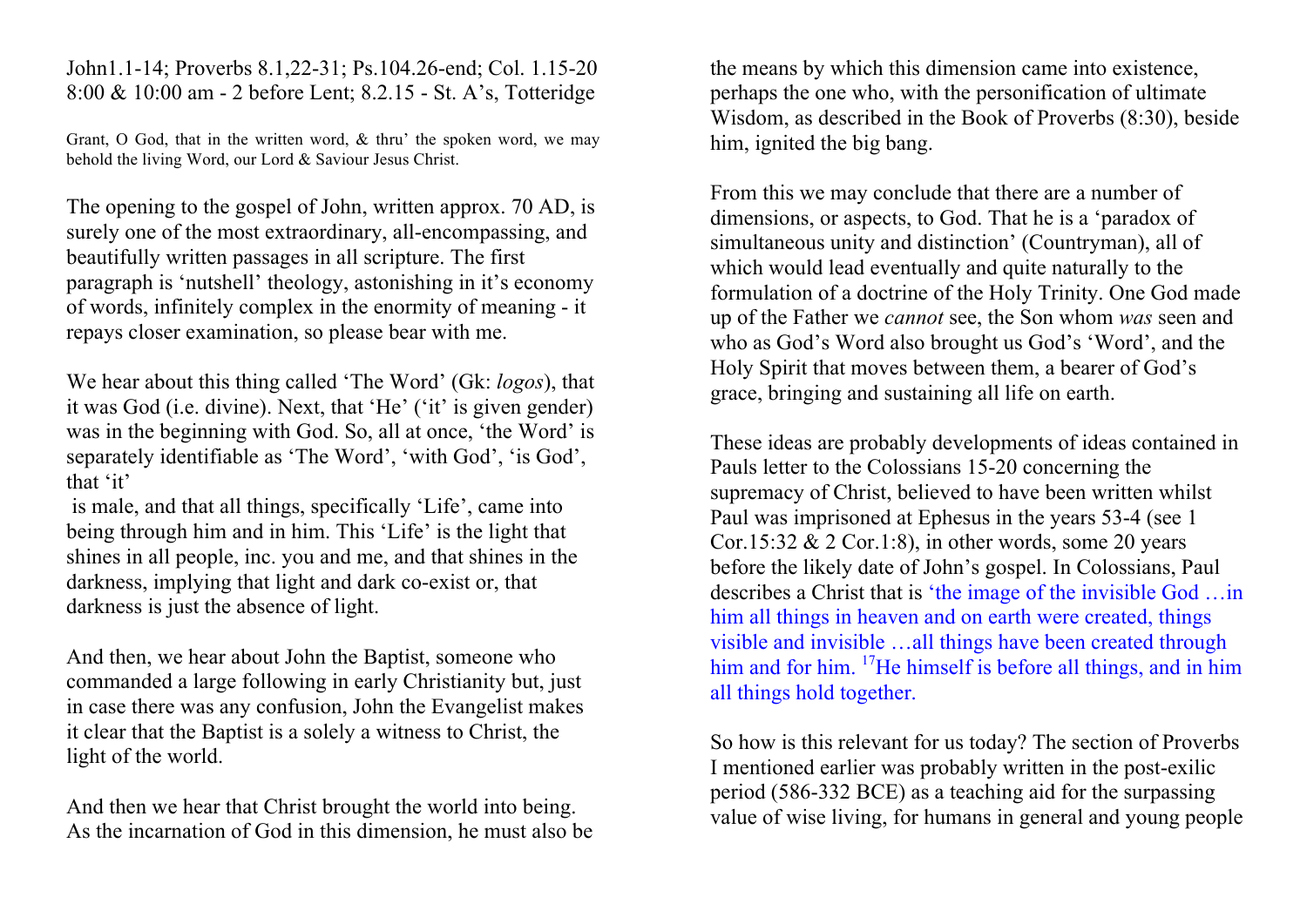John1.1-14; Proverbs 8.1,22-31; Ps.104.26-end; Col. 1.15-20 8:00 & 10:00 am - 2 before Lent; 8.2.15 - St. A's, Totteridge

Grant, O God, that in the written word, & thru' the spoken word, we may behold the living Word, our Lord & Saviour Jesus Christ.

The opening to the gospel of John, written approx. 70 AD, is surely one of the most extraordinary, all-encompassing, and beautifully written passages in all scripture. The first paragraph is 'nutshell' theology, astonishing in it's economy of words, infinitely complex in the enormity of meaning - it repays closer examination, so please bear with me.

We hear about this thing called 'The Word' (Gk: *logos*), that it was God (i.e. divine). Next, that 'He' ('it' is given gender) was in the beginning with God. So, all at once, 'the Word' is separately identifiable as 'The Word', 'with God', 'is God', that 'it'

is male, and that all things, specifically 'Life', came into being through him and in him. This 'Life' is the light that shines in all people, inc. you and me, and that shines in the darkness, implying that light and dark co-exist or, that darkness is just the absence of light.

And then, we hear about John the Baptist, someone who commanded a large following in early Christianity but, just in case there was any confusion, John the Evangelist makes it clear that the Baptist is a solely a witness to Christ, the light of the world.

And then we hear that Christ brought the world into being. As the incarnation of God in this dimension, he must also be the means by which this dimension came into existence, perhaps the one who, with the personification of ultimate Wisdom, as described in the Book of Proverbs (8:30), beside him, ignited the big bang.

From this we may conclude that there are a number of dimensions, or aspects, to God. That he is a 'paradox of simultaneous unity and distinction' (Countryman), all of which would lead eventually and quite naturally to the formulation of a doctrine of the Holy Trinity. One God made up of the Father we *cannot* see, the Son whom *was* seen and who as God's Word also brought us God's 'Word', and the Holy Spirit that moves between them, a bearer of God's grace, bringing and sustaining all life on earth.

These ideas are probably developments of ideas contained in Pauls letter to the Colossians 15-20 concerning the supremacy of Christ, believed to have been written whilst Paul was imprisoned at Ephesus in the years 53-4 (see 1 Cor.15:32  $& 2$  Cor.1:8), in other words, some 20 years before the likely date of John's gospel. In Colossians, Paul describes a Christ that is 'the image of the invisible God …in him all things in heaven and on earth were created, things visible and invisible …all things have been created through him and for him. <sup>17</sup>He himself is before all things, and in him all things hold together.

So how is this relevant for us today? The section of Proverbs I mentioned earlier was probably written in the post-exilic period (586-332 BCE) as a teaching aid for the surpassing value of wise living, for humans in general and young people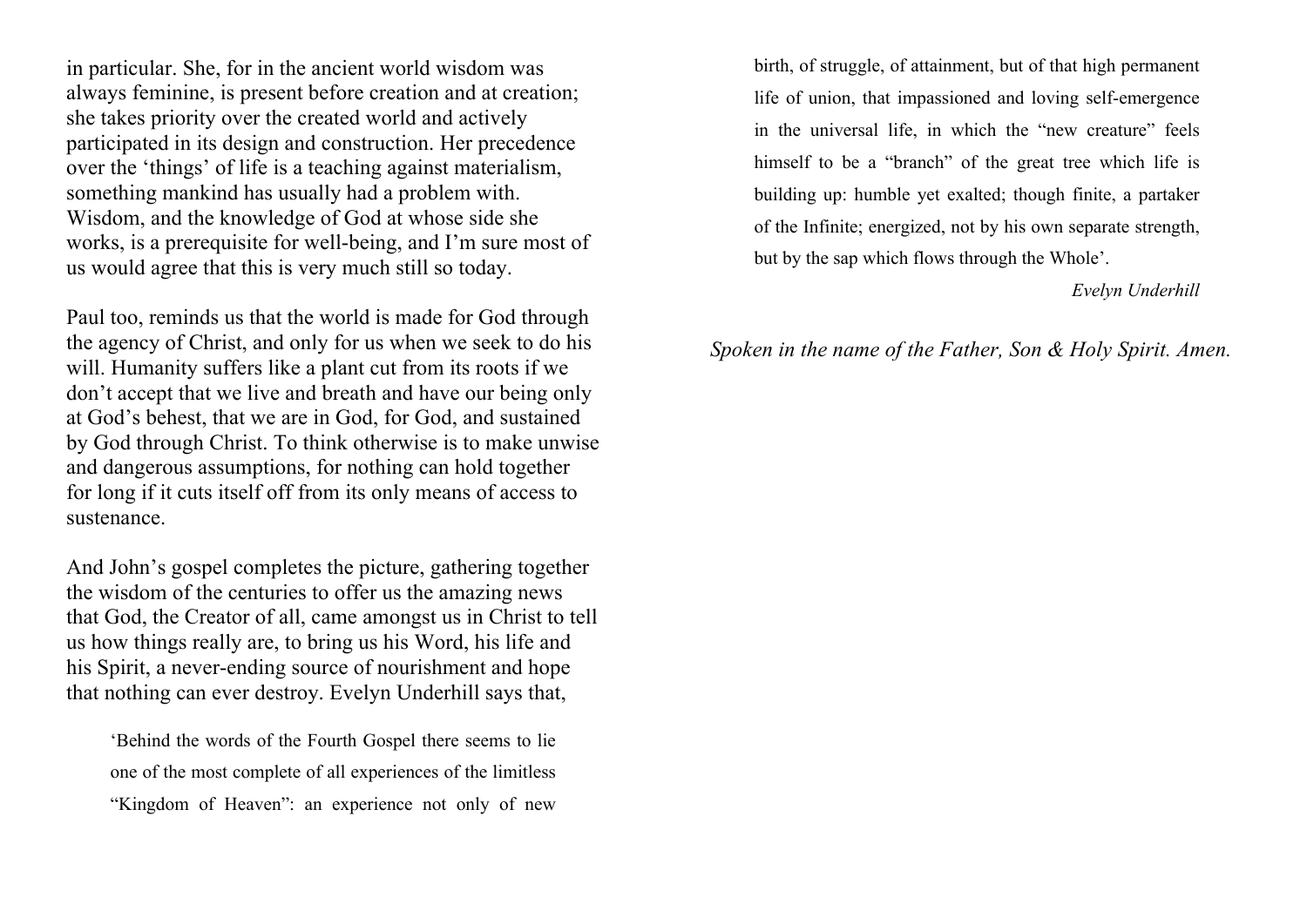in particular. She, for in the ancient world wisdom was always feminine, is present before creation and at creation; she takes priority over the created world and actively participated in its design and construction. Her precedence over the 'things' of life is a teaching against materialism, something mankind has usually had a problem with. Wisdom, and the knowledge of God at whose side she works, is a prerequisite for well-being, and I'm sure most of us would agree that this is very much still so today.

Paul too, reminds us that the world is made for God through the agency of Christ, and only for us when we seek to do his will. Humanity suffers like a plant cut from its roots if we don't accept that we live and breath and have our being only at God's behest, that we are in God, for God, and sustained by God through Christ. To think otherwise is to make unwise and dangerous assumptions, for nothing can hold together for long if it cuts itself off from its only means of access to sustenance.

And John's gospel completes the picture, gathering together the wisdom of the centuries to offer us the amazing news that God, the Creator of all, came amongst us in Christ to tell us how things really are, to bring us his Word, his life and his Spirit, a never-ending source of nourishment and hope that nothing can ever destroy. Evelyn Underhill says that,

'Behind the words of the Fourth Gospel there seems to lie one of the most complete of all experiences of the limitless "Kingdom of Heaven": an experience not only of new

birth, of struggle, of attainment, but of that high permanent life of union, that impassioned and loving self-emergence in the universal life, in which the "new creature" feels himself to be a "branch" of the great tree which life is building up: humble yet exalted; though finite, a partaker of the Infinite; energized, not by his own separate strength, but by the sap which flows through the Whole'.

#### *Evelyn Underhill*

### *Spoken in the name of the Father, Son & Holy Spirit. Amen.*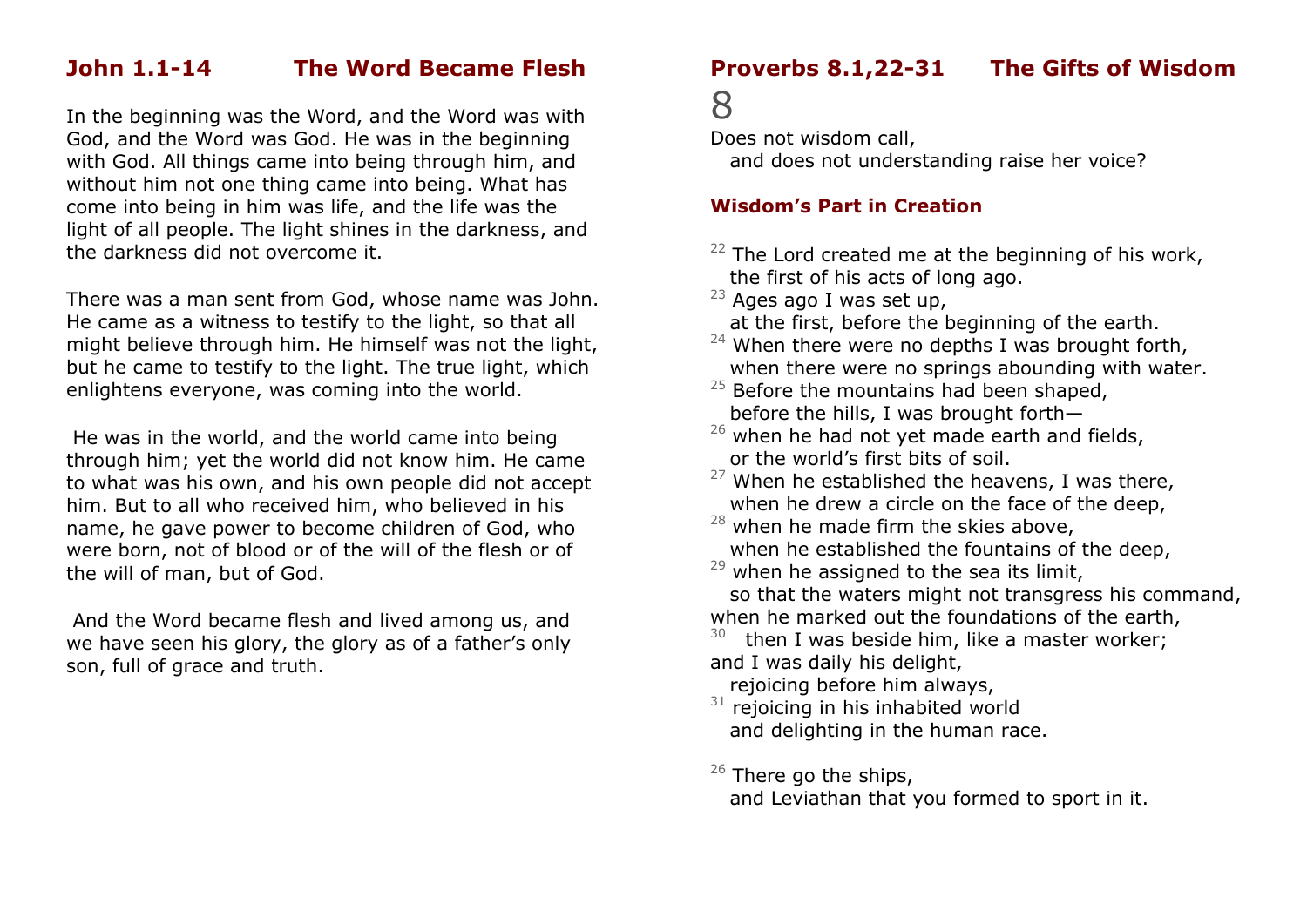## **John 1.1-14 The Word Became Flesh**

In the beginning was the Word, and the Word was with God, and the Word was God. He was in the beginning with God. All things came into being through him, and without him not one thing came into being. What has come into being in him was life, and the life was the light of all people. The light shines in the darkness, and the darkness did not overcome it.

There was a man sent from God, whose name was John. He came as a witness to testify to the light, so that all might believe through him. He himself was not the light, but he came to testify to the light. The true light, which enlightens everyone, was coming into the world.

He was in the world, and the world came into being through him; yet the world did not know him. He came to what was his own, and his own people did not accept him. But to all who received him, who believed in his name, he gave power to become children of God, who were born, not of blood or of the will of the flesh or of the will of man, but of God.

And the Word became flesh and lived among us, and we have seen his glory, the glory as of a father's only son, full of grace and truth.

## **Proverbs 8.1,22-31 The Gifts of Wisdom**

# 8

Does not wisdom call,

and does not understanding raise her voice?

### **Wisdom's Part in Creation**

 $22$  The Lord created me at the beginning of his work, the first of his acts of long ago.

 $23$  Ages ago I was set up,

at the first, before the beginning of the earth.

- $24$  When there were no depths I was brought forth, when there were no springs abounding with water.
- $25$  Before the mountains had been shaped, before the hills, I was brought forth—
- $26$  when he had not yet made earth and fields, or the world's first bits of soil.
- $27$  When he established the heavens, I was there, when he drew a circle on the face of the deep.
- $28$  when he made firm the skies above, when he established the fountains of the deep,
- $29$  when he assigned to the sea its limit, so that the waters might not transgress his command, when he marked out the foundations of the earth,

 $30$  then I was beside him, like a master worker; and I was daily his delight,

rejoicing before him always,

 $31$  rejoicing in his inhabited world and delighting in the human race.

### $26$  There go the ships,

and Leviathan that you formed to sport in it.